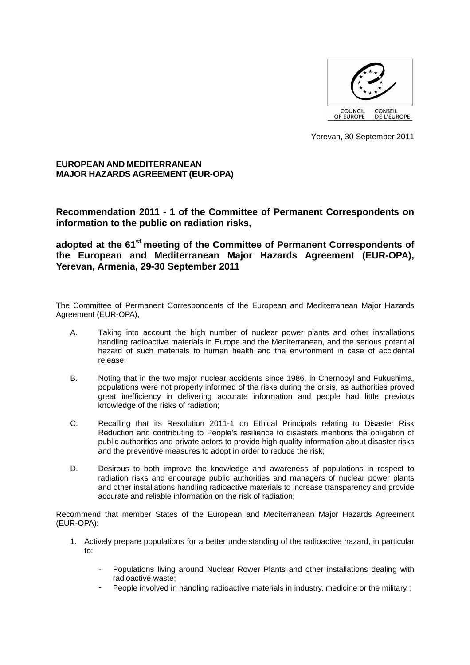

Yerevan, 30 September 2011

**EUROPEAN AND MEDITERRANEAN MAJOR HAZARDS AGREEMENT (EUR-OPA)** 

**Recommendation 2011 - 1 of the Committee of Permanent Correspondents on information to the public on radiation risks,** 

**adopted at the 61st meeting of the Committee of Permanent Correspondents of the European and Mediterranean Major Hazards Agreement (EUR-OPA), Yerevan, Armenia, 29-30 September 2011** 

The Committee of Permanent Correspondents of the European and Mediterranean Major Hazards Agreement (EUR-OPA),

- A. Taking into account the high number of nuclear power plants and other installations handling radioactive materials in Europe and the Mediterranean, and the serious potential hazard of such materials to human health and the environment in case of accidental release;
- B. Noting that in the two major nuclear accidents since 1986, in Chernobyl and Fukushima, populations were not properly informed of the risks during the crisis, as authorities proved great inefficiency in delivering accurate information and people had little previous knowledge of the risks of radiation;
- C. Recalling that its Resolution 2011-1 on Ethical Principals relating to Disaster Risk Reduction and contributing to People's resilience to disasters mentions the obligation of public authorities and private actors to provide high quality information about disaster risks and the preventive measures to adopt in order to reduce the risk;
- D. Desirous to both improve the knowledge and awareness of populations in respect to radiation risks and encourage public authorities and managers of nuclear power plants and other installations handling radioactive materials to increase transparency and provide accurate and reliable information on the risk of radiation;

Recommend that member States of the European and Mediterranean Major Hazards Agreement (EUR-OPA):

- 1. Actively prepare populations for a better understanding of the radioactive hazard, in particular to:
	- Populations living around Nuclear Rower Plants and other installations dealing with radioactive waste;
	- People involved in handling radioactive materials in industry, medicine or the military :